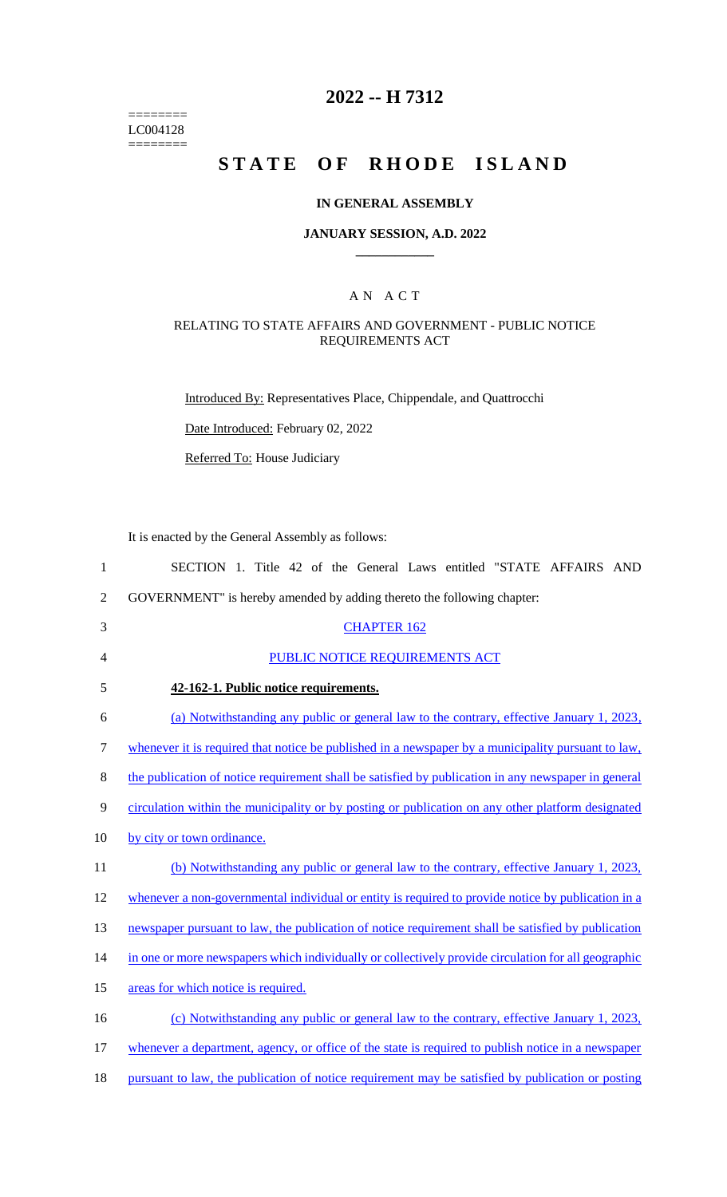======== LC004128  $=$ 

## **2022 -- H 7312**

# **STATE OF RHODE ISLAND**

### **IN GENERAL ASSEMBLY**

#### **JANUARY SESSION, A.D. 2022 \_\_\_\_\_\_\_\_\_\_\_\_**

### A N A C T

### RELATING TO STATE AFFAIRS AND GOVERNMENT - PUBLIC NOTICE REQUIREMENTS ACT

Introduced By: Representatives Place, Chippendale, and Quattrocchi

Date Introduced: February 02, 2022

Referred To: House Judiciary

It is enacted by the General Assembly as follows:

| $\mathbf{1}$   | SECTION 1. Title 42 of the General Laws entitled "STATE AFFAIRS AND                                 |
|----------------|-----------------------------------------------------------------------------------------------------|
| $\overline{2}$ | GOVERNMENT" is hereby amended by adding thereto the following chapter:                              |
| 3              | <b>CHAPTER 162</b>                                                                                  |
| 4              | PUBLIC NOTICE REQUIREMENTS ACT                                                                      |
| 5              | 42-162-1. Public notice requirements.                                                               |
| 6              | (a) Notwithstanding any public or general law to the contrary, effective January 1, 2023,           |
| 7              | whenever it is required that notice be published in a newspaper by a municipality pursuant to law,  |
| 8              | the publication of notice requirement shall be satisfied by publication in any newspaper in general |
| 9              | circulation within the municipality or by posting or publication on any other platform designated   |
| 10             | by city or town ordinance.                                                                          |
| 11             | (b) Notwithstanding any public or general law to the contrary, effective January 1, 2023,           |
| 12             | whenever a non-governmental individual or entity is required to provide notice by publication in a  |
| 13             | newspaper pursuant to law, the publication of notice requirement shall be satisfied by publication  |
| 14             | in one or more newspapers which individually or collectively provide circulation for all geographic |
| 15             | areas for which notice is required.                                                                 |
| 16             | (c) Notwithstanding any public or general law to the contrary, effective January 1, 2023,           |
| 17             | whenever a department, agency, or office of the state is required to publish notice in a newspaper  |
| 18             | pursuant to law, the publication of notice requirement may be satisfied by publication or posting   |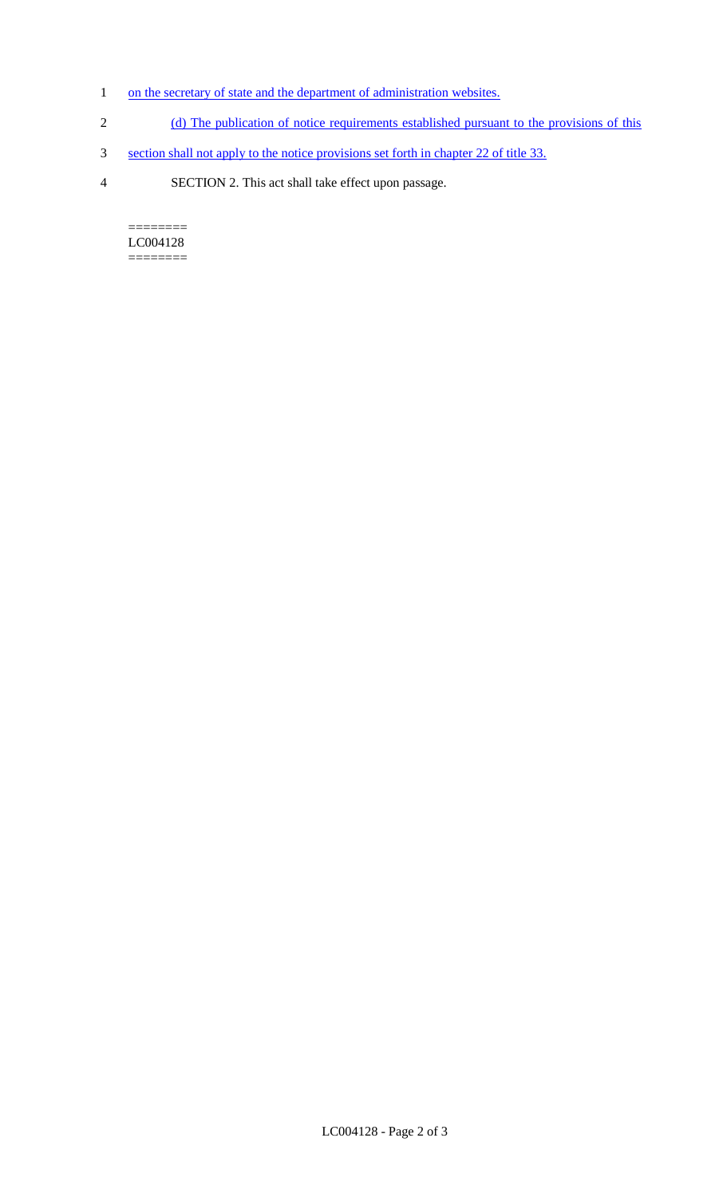- 1 on the secretary of state and the department of administration websites.
- 2 (d) The publication of notice requirements established pursuant to the provisions of this
- 3 section shall not apply to the notice provisions set forth in chapter 22 of title 33.
- 4 SECTION 2. This act shall take effect upon passage.

======== LC004128  $=$